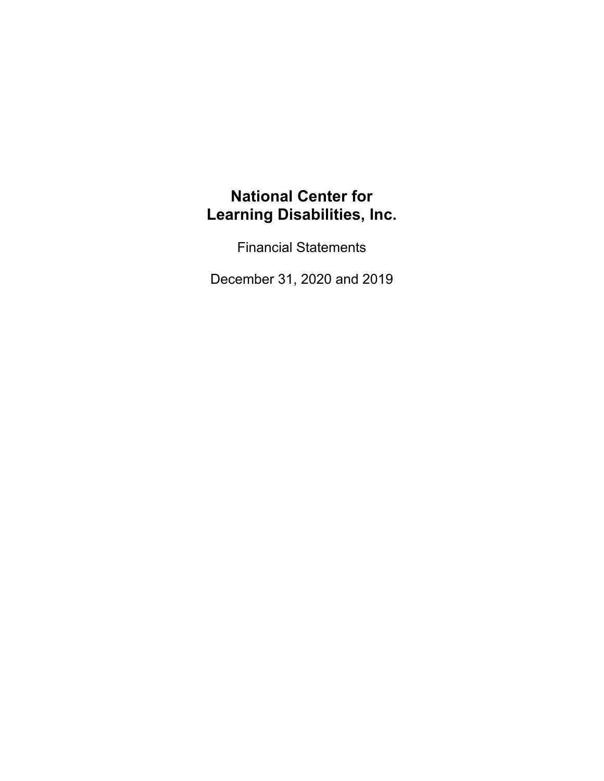Financial Statements

December 31, 2020 and 2019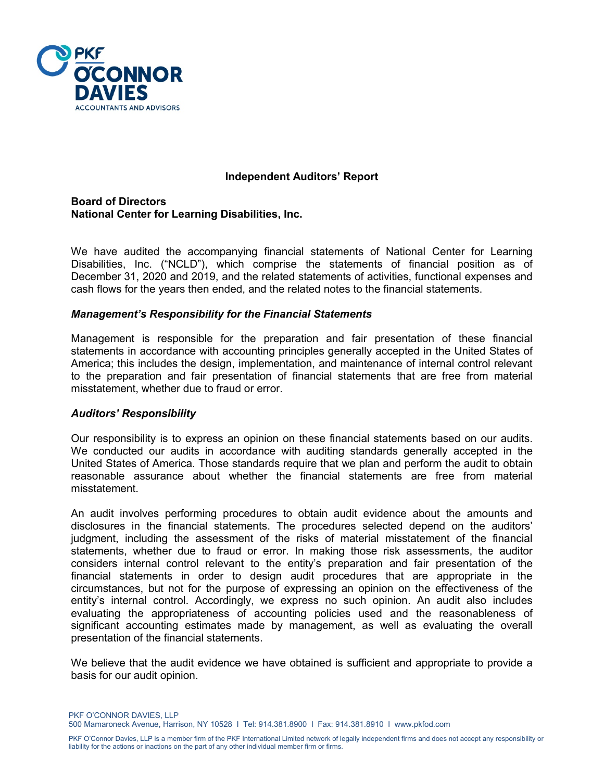

## **Independent Auditors' Report**

**Board of Directors National Center for Learning Disabilities, Inc.**

We have audited the accompanying financial statements of National Center for Learning Disabilities, Inc. ("NCLD"), which comprise the statements of financial position as of December 31, 2020 and 2019, and the related statements of activities, functional expenses and cash flows for the years then ended, and the related notes to the financial statements.

#### *Management's Responsibility for the Financial Statements*

Management is responsible for the preparation and fair presentation of these financial statements in accordance with accounting principles generally accepted in the United States of America; this includes the design, implementation, and maintenance of internal control relevant to the preparation and fair presentation of financial statements that are free from material misstatement, whether due to fraud or error.

#### *Auditors' Responsibility*

Our responsibility is to express an opinion on these financial statements based on our audits. We conducted our audits in accordance with auditing standards generally accepted in the United States of America. Those standards require that we plan and perform the audit to obtain reasonable assurance about whether the financial statements are free from material misstatement.

An audit involves performing procedures to obtain audit evidence about the amounts and disclosures in the financial statements. The procedures selected depend on the auditors' judgment, including the assessment of the risks of material misstatement of the financial statements, whether due to fraud or error. In making those risk assessments, the auditor considers internal control relevant to the entity's preparation and fair presentation of the financial statements in order to design audit procedures that are appropriate in the circumstances, but not for the purpose of expressing an opinion on the effectiveness of the entity's internal control. Accordingly, we express no such opinion. An audit also includes evaluating the appropriateness of accounting policies used and the reasonableness of significant accounting estimates made by management, as well as evaluating the overall presentation of the financial statements.

We believe that the audit evidence we have obtained is sufficient and appropriate to provide a basis for our audit opinion.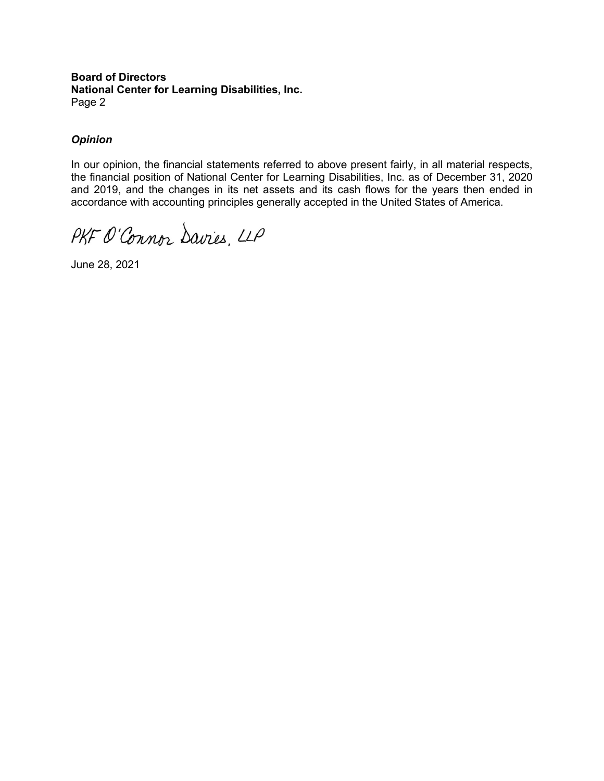#### **Board of Directors National Center for Learning Disabilities, Inc.** Page 2

## *Opinion*

In our opinion, the financial statements referred to above present fairly, in all material respects, the financial position of National Center for Learning Disabilities, Inc. as of December 31, 2020 and 2019, and the changes in its net assets and its cash flows for the years then ended in accordance with accounting principles generally accepted in the United States of America.

PKF O'Connor Davies, LLP

June 28, 2021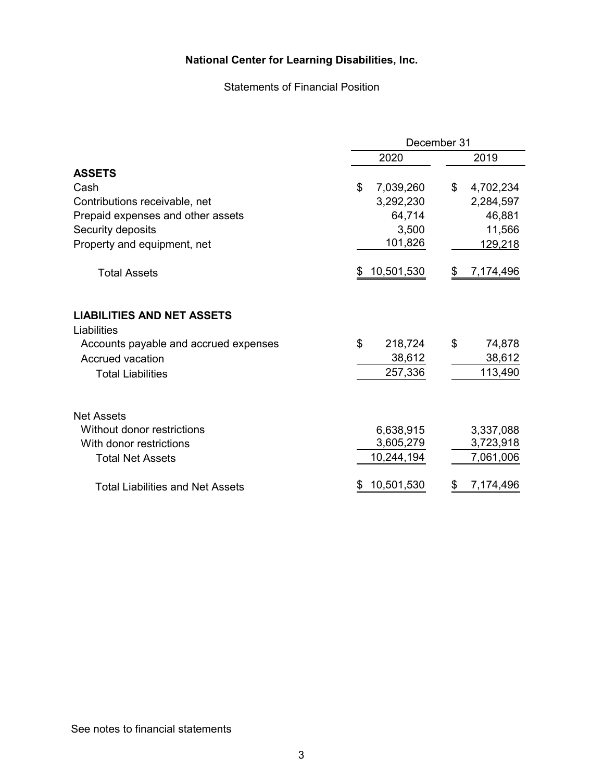Statements of Financial Position

|                                                  | December 31      |                 |  |
|--------------------------------------------------|------------------|-----------------|--|
|                                                  | 2020             | 2019            |  |
| <b>ASSETS</b>                                    |                  |                 |  |
| Cash                                             | \$<br>7,039,260  | \$<br>4,702,234 |  |
| Contributions receivable, net                    | 3,292,230        | 2,284,597       |  |
| Prepaid expenses and other assets                | 64,714           | 46,881          |  |
| Security deposits                                | 3,500            | 11,566          |  |
| Property and equipment, net                      | 101,826          | 129,218         |  |
| <b>Total Assets</b>                              | 10,501,530<br>\$ | 7,174,496<br>\$ |  |
| <b>LIABILITIES AND NET ASSETS</b><br>Liabilities |                  |                 |  |
| Accounts payable and accrued expenses            | \$<br>218,724    | \$<br>74,878    |  |
| <b>Accrued vacation</b>                          | 38,612           | 38,612          |  |
| <b>Total Liabilities</b>                         | 257,336          | 113,490         |  |
| <b>Net Assets</b>                                |                  |                 |  |
| Without donor restrictions                       | 6,638,915        | 3,337,088       |  |
| With donor restrictions                          | 3,605,279        | 3,723,918       |  |
| <b>Total Net Assets</b>                          | 10,244,194       | 7,061,006       |  |
| <b>Total Liabilities and Net Assets</b>          | 10,501,530<br>S  | 7,174,496<br>\$ |  |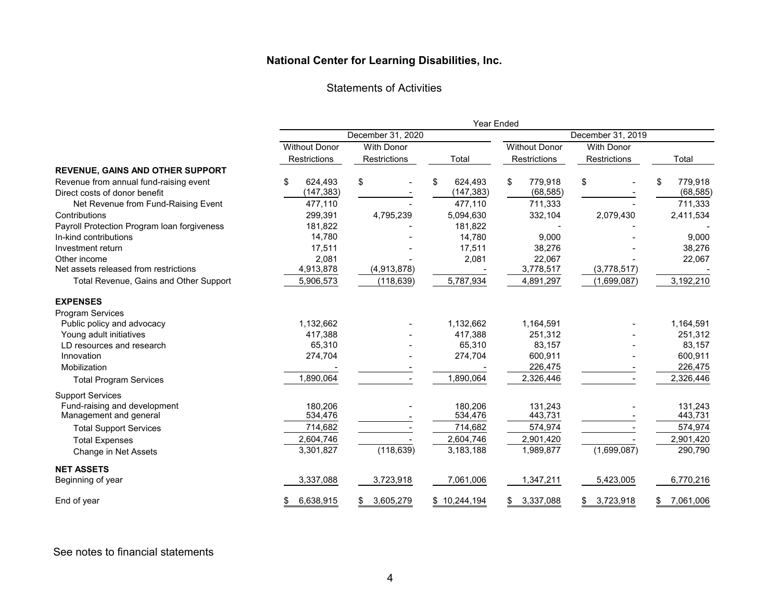#### **National Center for Learning Disabilities, Inc. National Center for Learning Disabilities, Inc.**

Statements of Activities

|                                             | Year Ended           |                     |               |                      |                   |                 |
|---------------------------------------------|----------------------|---------------------|---------------|----------------------|-------------------|-----------------|
|                                             | December 31, 2020    |                     |               |                      | December 31, 2019 |                 |
|                                             | <b>Without Donor</b> | <b>With Donor</b>   |               | <b>Without Donor</b> | <b>With Donor</b> |                 |
|                                             | Restrictions         | <b>Restrictions</b> | Total         | <b>Restrictions</b>  | Restrictions      | Total           |
| <b>REVENUE, GAINS AND OTHER SUPPORT</b>     |                      |                     |               |                      |                   |                 |
| Revenue from annual fund-raising event      | \$<br>624,493        | \$                  | \$<br>624,493 | \$<br>779,918        | \$                | 779,918<br>\$   |
| Direct costs of donor benefit               | (147, 383)           |                     | (147, 383)    | (68, 585)            |                   | (68, 585)       |
| Net Revenue from Fund-Raising Event         | 477,110              |                     | 477,110       | 711,333              |                   | 711,333         |
| Contributions                               | 299,391              | 4,795,239           | 5,094,630     | 332,104              | 2,079,430         | 2,411,534       |
| Payroll Protection Program loan forgiveness | 181,822              |                     | 181,822       |                      |                   |                 |
| In-kind contributions                       | 14,780               |                     | 14,780        | 9,000                |                   | 9,000           |
| Investment return                           | 17,511               |                     | 17,511        | 38,276               |                   | 38,276          |
| Other income                                | 2,081                |                     | 2,081         | 22,067               |                   | 22,067          |
| Net assets released from restrictions       | 4,913,878            | (4,913,878)         |               | 3,778,517            | (3,778,517)       |                 |
| Total Revenue, Gains and Other Support      | 5,906,573            | (118, 639)          | 5,787,934     | 4,891,297            | (1,699,087)       | 3,192,210       |
| <b>EXPENSES</b>                             |                      |                     |               |                      |                   |                 |
| <b>Program Services</b>                     |                      |                     |               |                      |                   |                 |
| Public policy and advocacy                  | 1,132,662            |                     | 1,132,662     | 1,164,591            |                   | 1,164,591       |
| Young adult initiatives                     | 417,388              |                     | 417,388       | 251,312              |                   | 251,312         |
| LD resources and research                   | 65,310               |                     | 65,310        | 83,157               |                   | 83,157          |
| Innovation                                  | 274,704              |                     | 274,704       | 600,911              |                   | 600,911         |
| Mobilization                                |                      |                     |               | 226,475              |                   | 226,475         |
| <b>Total Program Services</b>               | 1,890,064            |                     | 1,890,064     | 2,326,446            |                   | 2,326,446       |
| <b>Support Services</b>                     |                      |                     |               |                      |                   |                 |
| Fund-raising and development                | 180,206              |                     | 180,206       | 131,243              |                   | 131,243         |
| Management and general                      | 534,476              |                     | 534,476       | 443,731              |                   | 443,731         |
| <b>Total Support Services</b>               | 714,682              |                     | 714,682       | 574,974              |                   | 574,974         |
| <b>Total Expenses</b>                       | 2,604,746            |                     | 2,604,746     | 2,901,420            |                   | 2,901,420       |
| Change in Net Assets                        | 3,301,827            | (118, 639)          | 3,183,188     | 1,989,877            | (1,699,087)       | 290,790         |
| <b>NET ASSETS</b>                           |                      |                     |               |                      |                   |                 |
| Beginning of year                           | 3,337,088            | 3,723,918           | 7,061,006     | 1,347,211            | 5,423,005         | 6,770,216       |
| End of year                                 | 6,638,915            | 3,605,279<br>\$     | \$10,244,194  | 3,337,088<br>\$      | 3,723,918<br>\$   | 7,061,006<br>S. |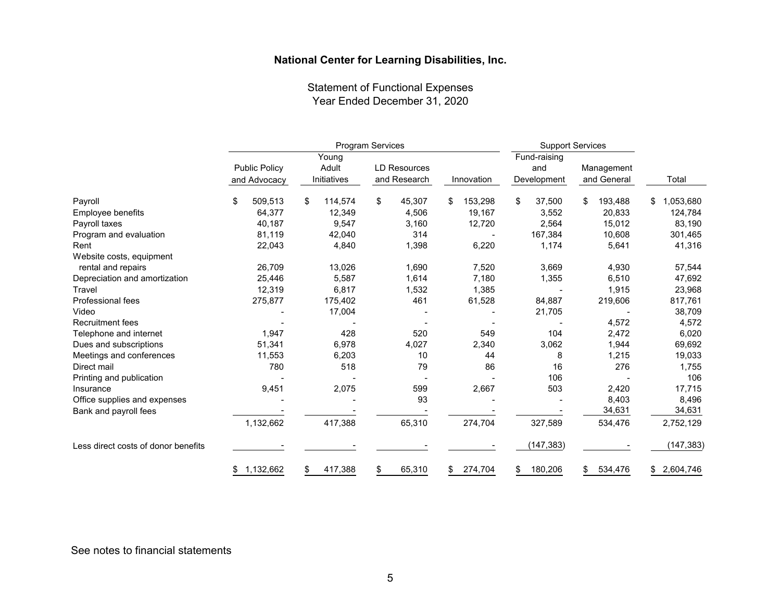Statement of Functional Expenses Year Ended December 31, 2020

|                                     | <b>Program Services</b> |               |                     | <b>Support Services</b> |               |               |                 |
|-------------------------------------|-------------------------|---------------|---------------------|-------------------------|---------------|---------------|-----------------|
|                                     |                         | Young         |                     |                         | Fund-raising  |               |                 |
|                                     | <b>Public Policy</b>    | Adult         | <b>LD Resources</b> |                         | and           | Management    |                 |
|                                     | and Advocacy            | Initiatives   | and Research        | Innovation              | Development   | and General   | Total           |
| Payroll                             | \$<br>509,513           | \$<br>114,574 | \$<br>45,307        | 153,298<br>\$           | \$<br>37,500  | 193,488<br>\$ | 1,053,680<br>\$ |
| Employee benefits                   | 64,377                  | 12,349        | 4,506               | 19,167                  | 3,552         | 20,833        | 124,784         |
| Payroll taxes                       | 40,187                  | 9,547         | 3,160               | 12,720                  | 2,564         | 15,012        | 83,190          |
| Program and evaluation              | 81,119                  | 42,040        | 314                 |                         | 167,384       | 10,608        | 301,465         |
| Rent                                | 22,043                  | 4,840         | 1,398               | 6,220                   | 1,174         | 5,641         | 41,316          |
| Website costs, equipment            |                         |               |                     |                         |               |               |                 |
| rental and repairs                  | 26,709                  | 13,026        | 1,690               | 7,520                   | 3,669         | 4,930         | 57,544          |
| Depreciation and amortization       | 25,446                  | 5,587         | 1,614               | 7,180                   | 1,355         | 6,510         | 47,692          |
| Travel                              | 12,319                  | 6,817         | 1,532               | 1,385                   |               | 1,915         | 23,968          |
| Professional fees                   | 275,877                 | 175,402       | 461                 | 61,528                  | 84,887        | 219,606       | 817,761         |
| Video                               |                         | 17,004        |                     |                         | 21,705        |               | 38,709          |
| <b>Recruitment fees</b>             |                         |               |                     |                         |               | 4,572         | 4,572           |
| Telephone and internet              | 1,947                   | 428           | 520                 | 549                     | 104           | 2,472         | 6,020           |
| Dues and subscriptions              | 51,341                  | 6,978         | 4,027               | 2,340                   | 3,062         | 1,944         | 69,692          |
| Meetings and conferences            | 11,553                  | 6,203         | 10                  | 44                      | 8             | 1,215         | 19,033          |
| Direct mail                         | 780                     | 518           | 79                  | 86                      | 16            | 276           | 1,755           |
| Printing and publication            |                         |               |                     |                         | 106           |               | 106             |
| Insurance                           | 9,451                   | 2,075         | 599                 | 2,667                   | 503           | 2,420         | 17,715          |
| Office supplies and expenses        |                         |               | 93                  |                         |               | 8,403         | 8,496           |
| Bank and payroll fees               |                         |               |                     |                         |               | 34,631        | 34,631          |
|                                     | 1,132,662               | 417,388       | 65,310              | 274,704                 | 327,589       | 534,476       | 2,752,129       |
| Less direct costs of donor benefits |                         |               |                     |                         | (147, 383)    |               | (147, 383)      |
|                                     | 1,132,662<br>\$         | 417,388       | 65,310<br>S         | 274,704<br>\$           | 180,206<br>\$ | 534,476<br>\$ | \$2,604,746     |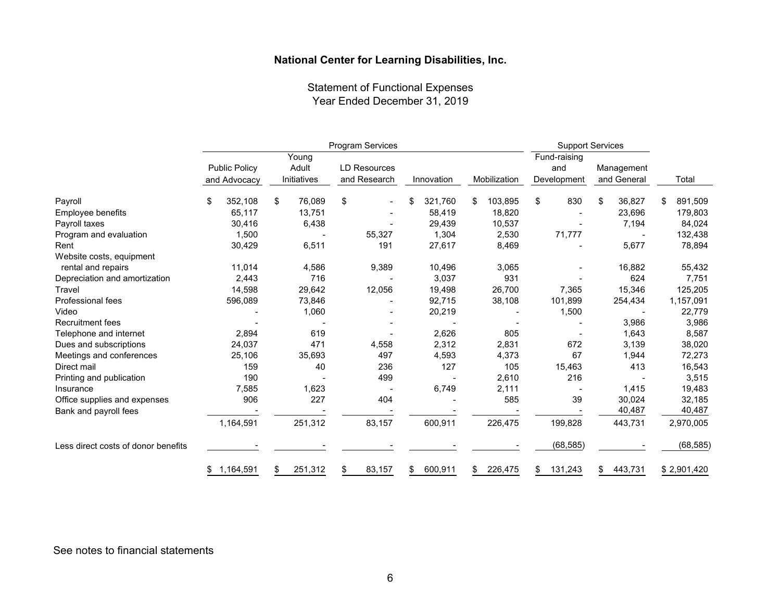Statement of Functional Expenses Year Ended December 31, 2019

|                                     | Program Services                     |                               |                                     | <b>Support Services</b> |               |                                    |                           |               |
|-------------------------------------|--------------------------------------|-------------------------------|-------------------------------------|-------------------------|---------------|------------------------------------|---------------------------|---------------|
|                                     | <b>Public Policy</b><br>and Advocacy | Young<br>Adult<br>Initiatives | <b>LD Resources</b><br>and Research | Innovation              | Mobilization  | Fund-raising<br>and<br>Development | Management<br>and General | Total         |
| Payroll                             | \$<br>352,108                        | \$<br>76,089                  | \$                                  | 321,760<br>\$           | 103,895<br>\$ | \$<br>830                          | 36,827<br>\$              | 891,509<br>\$ |
| Employee benefits                   | 65,117                               | 13,751                        |                                     | 58,419                  | 18,820        |                                    | 23,696                    | 179,803       |
| Payroll taxes                       | 30,416                               | 6,438                         |                                     | 29,439                  | 10,537        |                                    | 7,194                     | 84,024        |
| Program and evaluation              | 1,500                                |                               | 55,327                              | 1,304                   | 2,530         | 71,777                             |                           | 132,438       |
| Rent                                | 30,429                               | 6,511                         | 191                                 | 27,617                  | 8,469         |                                    | 5,677                     | 78,894        |
| Website costs, equipment            |                                      |                               |                                     |                         |               |                                    |                           |               |
| rental and repairs                  | 11,014                               | 4,586                         | 9,389                               | 10,496                  | 3,065         |                                    | 16,882                    | 55,432        |
| Depreciation and amortization       | 2,443                                | 716                           |                                     | 3,037                   | 931           |                                    | 624                       | 7,751         |
| Travel                              | 14,598                               | 29,642                        | 12,056                              | 19,498                  | 26,700        | 7,365                              | 15,346                    | 125,205       |
| Professional fees                   | 596,089                              | 73,846                        |                                     | 92,715                  | 38,108        | 101,899                            | 254,434                   | 1,157,091     |
| Video                               |                                      | 1,060                         |                                     | 20,219                  |               | 1,500                              |                           | 22,779        |
| <b>Recruitment fees</b>             |                                      |                               |                                     |                         |               |                                    | 3,986                     | 3,986         |
| Telephone and internet              | 2,894                                | 619                           |                                     | 2,626                   | 805           |                                    | 1,643                     | 8,587         |
| Dues and subscriptions              | 24,037                               | 471                           | 4,558                               | 2,312                   | 2,831         | 672                                | 3,139                     | 38,020        |
| Meetings and conferences            | 25,106                               | 35,693                        | 497                                 | 4,593                   | 4,373         | 67                                 | 1,944                     | 72,273        |
| Direct mail                         | 159                                  | 40                            | 236                                 | 127                     | 105           | 15,463                             | 413                       | 16,543        |
| Printing and publication            | 190                                  |                               | 499                                 |                         | 2,610         | 216                                |                           | 3,515         |
| Insurance                           | 7,585                                | 1,623                         |                                     | 6,749                   | 2,111         |                                    | 1,415                     | 19,483        |
| Office supplies and expenses        | 906                                  | 227                           | 404                                 |                         | 585           | 39                                 | 30,024                    | 32,185        |
| Bank and payroll fees               |                                      |                               |                                     |                         |               |                                    | 40,487                    | 40,487        |
|                                     | 1,164,591                            | 251,312                       | 83,157                              | 600,911                 | 226,475       | 199,828                            | 443,731                   | 2,970,005     |
| Less direct costs of donor benefits |                                      |                               |                                     |                         |               | (68, 585)                          |                           | (68, 585)     |
|                                     | 1,164,591<br>\$                      | 251,312<br>S                  | 83,157<br>\$                        | 600,911<br>\$           | 226,475<br>\$ | 131,243<br>\$                      | 443,731<br>\$             | \$2,901,420   |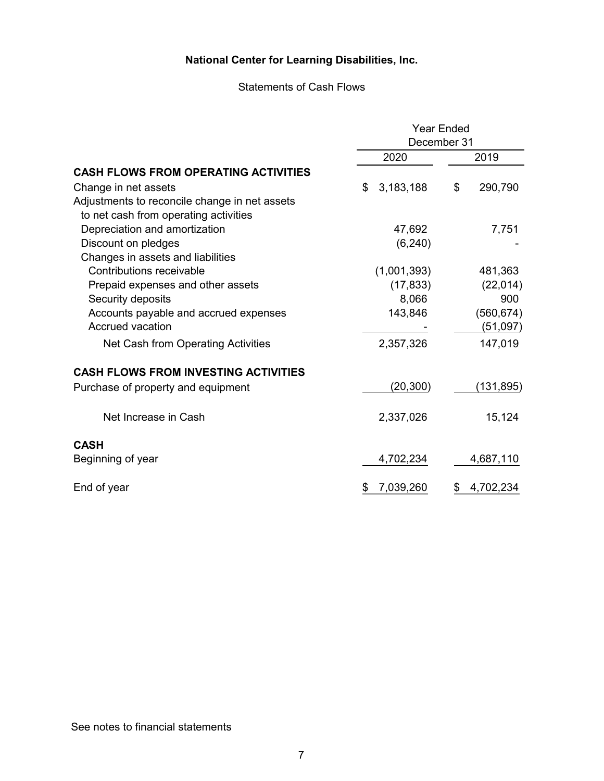# Statements of Cash Flows

|                                               | <b>Year Ended</b> |                 |  |  |
|-----------------------------------------------|-------------------|-----------------|--|--|
|                                               | December 31       |                 |  |  |
|                                               | 2020              | 2019            |  |  |
| <b>CASH FLOWS FROM OPERATING ACTIVITIES</b>   |                   |                 |  |  |
| Change in net assets                          | \$<br>3,183,188   | \$<br>290,790   |  |  |
| Adjustments to reconcile change in net assets |                   |                 |  |  |
| to net cash from operating activities         |                   |                 |  |  |
| Depreciation and amortization                 | 47,692            | 7,751           |  |  |
| Discount on pledges                           | (6, 240)          |                 |  |  |
| Changes in assets and liabilities             |                   |                 |  |  |
| Contributions receivable                      | (1,001,393)       | 481,363         |  |  |
| Prepaid expenses and other assets             | (17, 833)         | (22, 014)       |  |  |
| Security deposits                             | 8,066             | 900             |  |  |
| Accounts payable and accrued expenses         | 143,846           | (560, 674)      |  |  |
| <b>Accrued vacation</b>                       |                   | (51,097)        |  |  |
| Net Cash from Operating Activities            | 2,357,326         | 147,019         |  |  |
| <b>CASH FLOWS FROM INVESTING ACTIVITIES</b>   |                   |                 |  |  |
| Purchase of property and equipment            | (20, 300)         | (131,895)       |  |  |
| Net Increase in Cash                          | 2,337,026         | 15,124          |  |  |
| <b>CASH</b>                                   |                   |                 |  |  |
| Beginning of year                             | 4,702,234         | 4,687,110       |  |  |
| End of year                                   | 7,039,260<br>\$   | 4,702,234<br>\$ |  |  |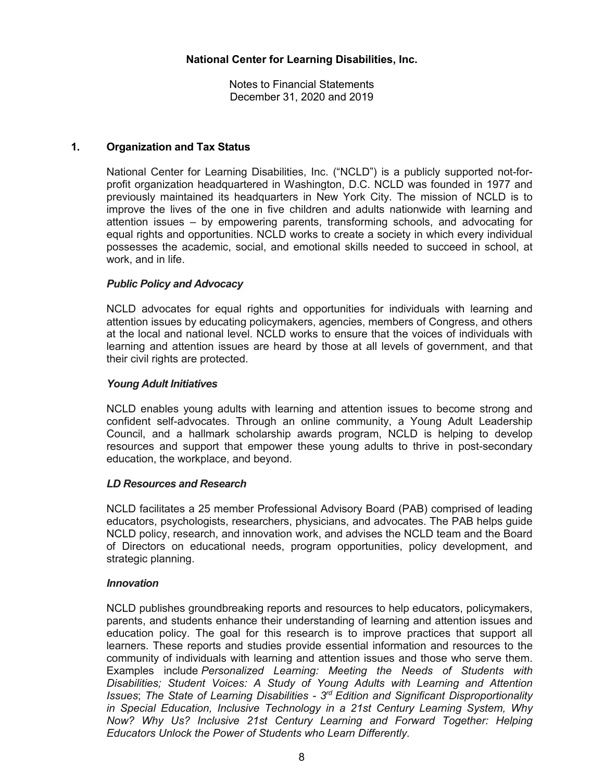Notes to Financial Statements December 31, 2020 and 2019

## **1. Organization and Tax Status**

National Center for Learning Disabilities, Inc. ("NCLD") is a publicly supported not-forprofit organization headquartered in Washington, D.C. NCLD was founded in 1977 and previously maintained its headquarters in New York City. The mission of NCLD is to improve the lives of the one in five children and adults nationwide with learning and attention issues – by empowering parents, transforming schools, and advocating for equal rights and opportunities. NCLD works to create a society in which every individual possesses the academic, social, and emotional skills needed to succeed in school, at work, and in life.

## *Public Policy and Advocacy*

NCLD advocates for equal rights and opportunities for individuals with learning and attention issues by educating policymakers, agencies, members of Congress, and others at the local and national level. NCLD works to ensure that the voices of individuals with learning and attention issues are heard by those at all levels of government, and that their civil rights are protected.

#### *Young Adult Initiatives*

NCLD enables young adults with learning and attention issues to become strong and confident self-advocates. Through an online community, a Young Adult Leadership Council, and a hallmark scholarship awards program, NCLD is helping to develop resources and support that empower these young adults to thrive in post-secondary education, the workplace, and beyond.

#### *LD Resources and Research*

NCLD facilitates a 25 member Professional Advisory Board (PAB) comprised of leading educators, psychologists, researchers, physicians, and advocates. The PAB helps guide NCLD policy, research, and innovation work, and advises the NCLD team and the Board of Directors on educational needs, program opportunities, policy development, and strategic planning.

#### *Innovation*

NCLD publishes groundbreaking reports and resources to help educators, policymakers, parents, and students enhance their understanding of learning and attention issues and education policy. The goal for this research is to improve practices that support all learners. These reports and studies provide essential information and resources to the community of individuals with learning and attention issues and those who serve them. Examples include *Personalized Learning: Meeting the Needs of Students with Disabilities; Student Voices: A Study of Young Adults with Learning and Attention Issues*; *The State of Learning Disabilities - 3 rd Edition and Significant Disproportionality in Special Education, Inclusive Technology in a 21st Century Learning System, Why Now? Why Us? Inclusive 21st Century Learning and Forward Together: Helping Educators Unlock the Power of Students who Learn Differently.*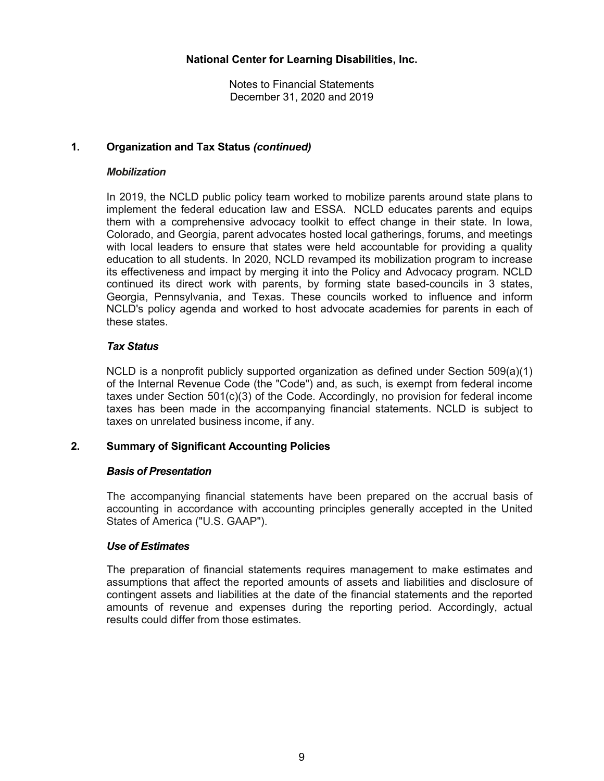## **1. Organization and Tax Status** *(continued)*

## *Mobilization*

In 2019, the NCLD public policy team worked to mobilize parents around state plans to implement the federal education law and ESSA. NCLD educates parents and equips them with a comprehensive advocacy toolkit to effect change in their state. In Iowa, Colorado, and Georgia, parent advocates hosted local gatherings, forums, and meetings with local leaders to ensure that states were held accountable for providing a quality education to all students. In 2020, NCLD revamped its mobilization program to increase its effectiveness and impact by merging it into the Policy and Advocacy program. NCLD continued its direct work with parents, by forming state based-councils in 3 states, Georgia, Pennsylvania, and Texas. These councils worked to influence and inform NCLD's policy agenda and worked to host advocate academies for parents in each of these states.

## *Tax Status*

NCLD is a nonprofit publicly supported organization as defined under Section 509(a)(1) of the Internal Revenue Code (the "Code") and, as such, is exempt from federal income taxes under Section 501(c)(3) of the Code. Accordingly, no provision for federal income taxes has been made in the accompanying financial statements. NCLD is subject to taxes on unrelated business income, if any.

## **2. Summary of Significant Accounting Policies**

## *Basis of Presentation*

The accompanying financial statements have been prepared on the accrual basis of accounting in accordance with accounting principles generally accepted in the United States of America ("U.S. GAAP").

#### *Use of Estimates*

The preparation of financial statements requires management to make estimates and assumptions that affect the reported amounts of assets and liabilities and disclosure of contingent assets and liabilities at the date of the financial statements and the reported amounts of revenue and expenses during the reporting period. Accordingly, actual results could differ from those estimates.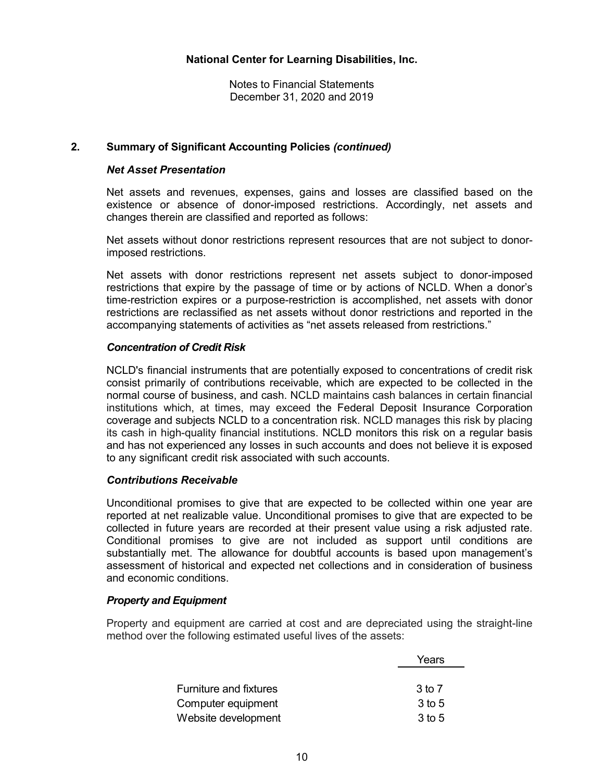## **2. Summary of Significant Accounting Policies** *(continued)*

#### *Net Asset Presentation*

Net assets and revenues, expenses, gains and losses are classified based on the existence or absence of donor-imposed restrictions. Accordingly, net assets and changes therein are classified and reported as follows:

Net assets without donor restrictions represent resources that are not subject to donorimposed restrictions.

Net assets with donor restrictions represent net assets subject to donor-imposed restrictions that expire by the passage of time or by actions of NCLD. When a donor's time-restriction expires or a purpose-restriction is accomplished, net assets with donor restrictions are reclassified as net assets without donor restrictions and reported in the accompanying statements of activities as "net assets released from restrictions."

#### *Concentration of Credit Risk*

NCLD's financial instruments that are potentially exposed to concentrations of credit risk consist primarily of contributions receivable, which are expected to be collected in the normal course of business, and cash. NCLD maintains cash balances in certain financial institutions which, at times, may exceed the Federal Deposit Insurance Corporation coverage and subjects NCLD to a concentration risk. NCLD manages this risk by placing its cash in high-quality financial institutions. NCLD monitors this risk on a regular basis and has not experienced any losses in such accounts and does not believe it is exposed to any significant credit risk associated with such accounts.

#### *Contributions Receivable*

Unconditional promises to give that are expected to be collected within one year are reported at net realizable value. Unconditional promises to give that are expected to be collected in future years are recorded at their present value using a risk adjusted rate. Conditional promises to give are not included as support until conditions are substantially met. The allowance for doubtful accounts is based upon management's assessment of historical and expected net collections and in consideration of business and economic conditions.

#### *Property and Equipment*

Property and equipment are carried at cost and are depreciated using the straight-line method over the following estimated useful lives of the assets:

|                               | Years  |
|-------------------------------|--------|
|                               |        |
| <b>Furniture and fixtures</b> | 3 to 7 |
| Computer equipment            | 3 to 5 |
| Website development           | 3 to 5 |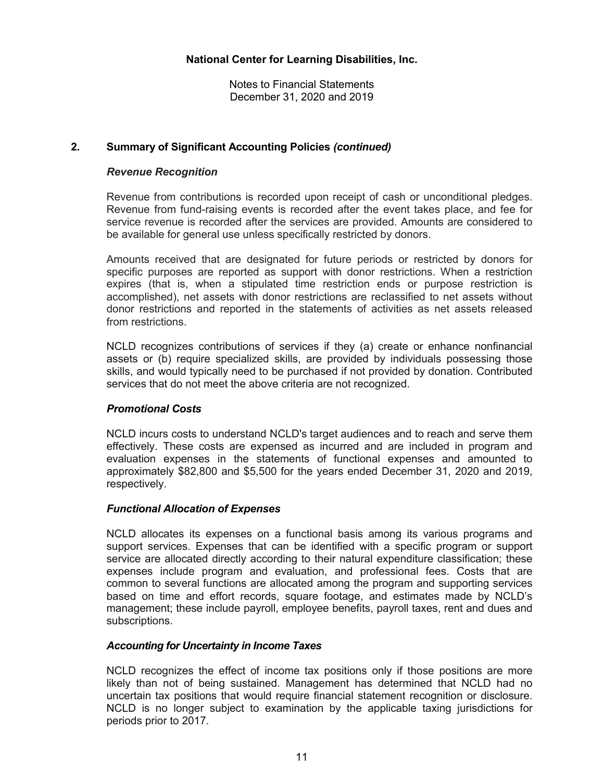## **2. Summary of Significant Accounting Policies** *(continued)*

## *Revenue Recognition*

Revenue from contributions is recorded upon receipt of cash or unconditional pledges. Revenue from fund-raising events is recorded after the event takes place, and fee for service revenue is recorded after the services are provided. Amounts are considered to be available for general use unless specifically restricted by donors.

Amounts received that are designated for future periods or restricted by donors for specific purposes are reported as support with donor restrictions. When a restriction expires (that is, when a stipulated time restriction ends or purpose restriction is accomplished), net assets with donor restrictions are reclassified to net assets without donor restrictions and reported in the statements of activities as net assets released from restrictions.

NCLD recognizes contributions of services if they (a) create or enhance nonfinancial assets or (b) require specialized skills, are provided by individuals possessing those skills, and would typically need to be purchased if not provided by donation. Contributed services that do not meet the above criteria are not recognized.

## *Promotional Costs*

NCLD incurs costs to understand NCLD's target audiences and to reach and serve them effectively. These costs are expensed as incurred and are included in program and evaluation expenses in the statements of functional expenses and amounted to approximately \$82,800 and \$5,500 for the years ended December 31, 2020 and 2019, respectively.

#### *Functional Allocation of Expenses*

NCLD allocates its expenses on a functional basis among its various programs and support services. Expenses that can be identified with a specific program or support service are allocated directly according to their natural expenditure classification; these expenses include program and evaluation, and professional fees. Costs that are common to several functions are allocated among the program and supporting services based on time and effort records, square footage, and estimates made by NCLD's management; these include payroll, employee benefits, payroll taxes, rent and dues and subscriptions.

#### *Accounting for Uncertainty in Income Taxes*

NCLD recognizes the effect of income tax positions only if those positions are more likely than not of being sustained. Management has determined that NCLD had no uncertain tax positions that would require financial statement recognition or disclosure. NCLD is no longer subject to examination by the applicable taxing jurisdictions for periods prior to 2017.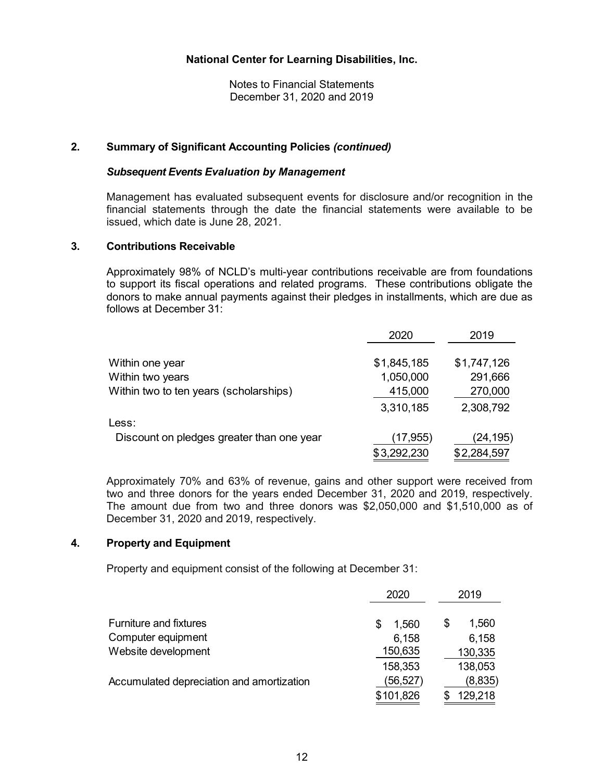Notes to Financial Statements December 31, 2020 and 2019

## **2. Summary of Significant Accounting Policies** *(continued)*

#### *Subsequent Events Evaluation by Management*

Management has evaluated subsequent events for disclosure and/or recognition in the financial statements through the date the financial statements were available to be issued, which date is June 28, 2021.

#### **3. Contributions Receivable**

Approximately 98% of NCLD's multi-year contributions receivable are from foundations to support its fiscal operations and related programs. These contributions obligate the donors to make annual payments against their pledges in installments, which are due as follows at December 31:

|                                           | 2020        | 2019        |
|-------------------------------------------|-------------|-------------|
|                                           |             |             |
| Within one year                           | \$1,845,185 | \$1,747,126 |
| Within two years                          | 1,050,000   | 291,666     |
| Within two to ten years (scholarships)    | 415,000     | 270,000     |
|                                           | 3,310,185   | 2,308,792   |
| Less:                                     |             |             |
| Discount on pledges greater than one year | (17, 955)   | (24, 195)   |
|                                           | \$3,292,230 | \$2,284,597 |

Approximately 70% and 63% of revenue, gains and other support were received from two and three donors for the years ended December 31, 2020 and 2019, respectively. The amount due from two and three donors was \$2,050,000 and \$1,510,000 as of December 31, 2020 and 2019, respectively.

## **4. Property and Equipment**

Property and equipment consist of the following at December 31:

|                                           | 2020       | 2019        |
|-------------------------------------------|------------|-------------|
| <b>Furniture and fixtures</b>             | 1,560<br>S | 1,560<br>\$ |
| Computer equipment                        | 6,158      | 6,158       |
| Website development                       | 150,635    | 130,335     |
|                                           | 158,353    | 138,053     |
| Accumulated depreciation and amortization | (56,527)   | (8,835)     |
|                                           | \$101,826  | 129,218     |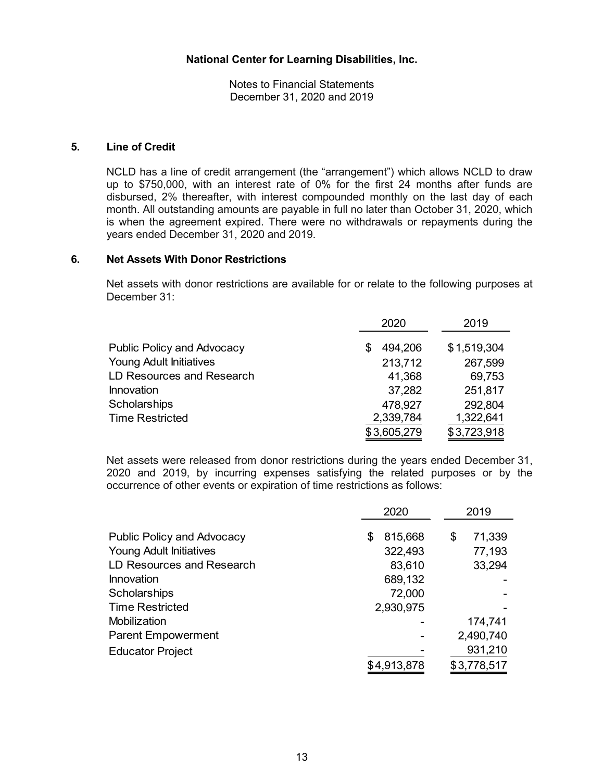## **5. Line of Credit**

NCLD has a line of credit arrangement (the "arrangement") which allows NCLD to draw up to \$750,000, with an interest rate of 0% for the first 24 months after funds are disbursed, 2% thereafter, with interest compounded monthly on the last day of each month. All outstanding amounts are payable in full no later than October 31, 2020, which is when the agreement expired. There were no withdrawals or repayments during the years ended December 31, 2020 and 2019.

#### **6. Net Assets With Donor Restrictions**

Net assets with donor restrictions are available for or relate to the following purposes at December 31:

|                                   | 2020         | 2019        |
|-----------------------------------|--------------|-------------|
| <b>Public Policy and Advocacy</b> | 494,206<br>S | \$1,519,304 |
| <b>Young Adult Initiatives</b>    | 213,712      | 267,599     |
| LD Resources and Research         | 41,368       | 69,753      |
| Innovation                        | 37,282       | 251,817     |
| Scholarships                      | 478,927      | 292,804     |
| <b>Time Restricted</b>            | 2,339,784    | 1,322,641   |
|                                   | \$3,605,279  | \$3,723,918 |

Net assets were released from donor restrictions during the years ended December 31, 2020 and 2019, by incurring expenses satisfying the related purposes or by the occurrence of other events or expiration of time restrictions as follows:

|                                   | 2020         | 2019         |
|-----------------------------------|--------------|--------------|
| <b>Public Policy and Advocacy</b> | 815,668<br>S | 71,339<br>\$ |
| <b>Young Adult Initiatives</b>    | 322,493      | 77,193       |
| LD Resources and Research         | 83,610       | 33,294       |
| Innovation                        | 689,132      |              |
| Scholarships                      | 72,000       |              |
| <b>Time Restricted</b>            | 2,930,975    |              |
| Mobilization                      |              | 174,741      |
| <b>Parent Empowerment</b>         |              | 2,490,740    |
| <b>Educator Project</b>           |              | 931,210      |
|                                   | \$4,913,878  | \$3,778,517  |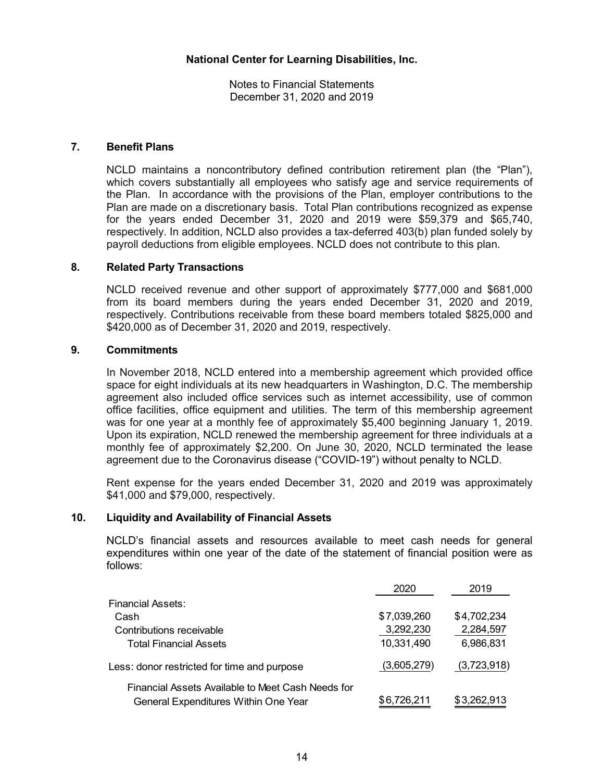## **7. Benefit Plans**

NCLD maintains a noncontributory defined contribution retirement plan (the "Plan"), which covers substantially all employees who satisfy age and service requirements of the Plan. In accordance with the provisions of the Plan, employer contributions to the Plan are made on a discretionary basis. Total Plan contributions recognized as expense for the years ended December 31, 2020 and 2019 were \$59,379 and \$65,740, respectively. In addition, NCLD also provides a tax-deferred 403(b) plan funded solely by payroll deductions from eligible employees. NCLD does not contribute to this plan.

## **8. Related Party Transactions**

NCLD received revenue and other support of approximately \$777,000 and \$681,000 from its board members during the years ended December 31, 2020 and 2019, respectively. Contributions receivable from these board members totaled \$825,000 and \$420,000 as of December 31, 2020 and 2019, respectively.

#### **9. Commitments**

In November 2018, NCLD entered into a membership agreement which provided office space for eight individuals at its new headquarters in Washington, D.C. The membership agreement also included office services such as internet accessibility, use of common office facilities, office equipment and utilities. The term of this membership agreement was for one year at a monthly fee of approximately \$5,400 beginning January 1, 2019. Upon its expiration, NCLD renewed the membership agreement for three individuals at a monthly fee of approximately \$2,200. On June 30, 2020, NCLD terminated the lease agreement due to the Coronavirus disease ("COVID-19") without penalty to NCLD.

Rent expense for the years ended December 31, 2020 and 2019 was approximately \$41,000 and \$79,000, respectively.

#### **10. Liquidity and Availability of Financial Assets**

NCLD's financial assets and resources available to meet cash needs for general expenditures within one year of the date of the statement of financial position were as follows:

|                                                   | 2020        | 2019        |
|---------------------------------------------------|-------------|-------------|
| Financial Assets:                                 |             |             |
| Cash                                              | \$7,039,260 | \$4,702,234 |
| Contributions receivable                          | 3,292,230   | 2,284,597   |
| Total Financial Assets                            | 10,331,490  | 6,986,831   |
| Less: donor restricted for time and purpose       | (3,605,279) | (3,723,918) |
| Financial Assets Available to Meet Cash Needs for |             |             |
| General Expenditures Within One Year              | \$6,726,211 | \$3,262,913 |